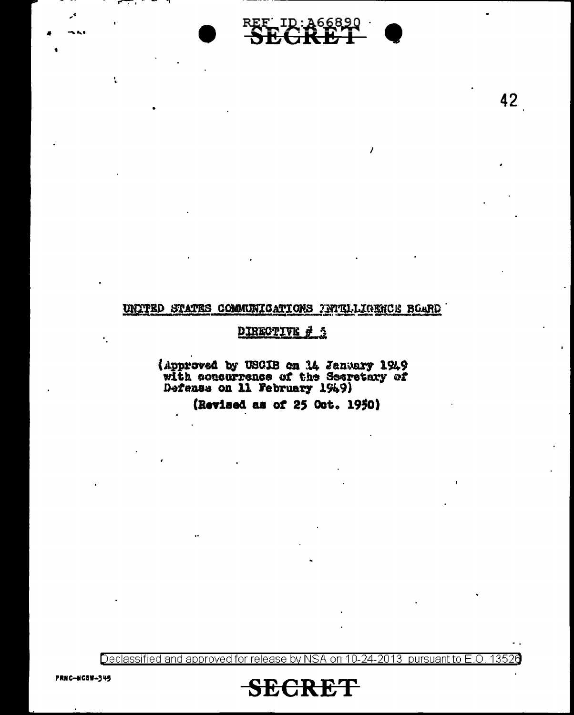

42

#### UNITED STATES COMMUNICATIONS ANTELLIGENCE BOARD

## DIRECTIVE # 3

(Approved by USCIB on 14 January 1949 with concurrence of the Secretary of Defense on 11 February 1949)

(Revised as of 25 Oct. 1950)

Declassified and approved for release by NSA on 10-24-2013 pursuant to E.O. 13526



t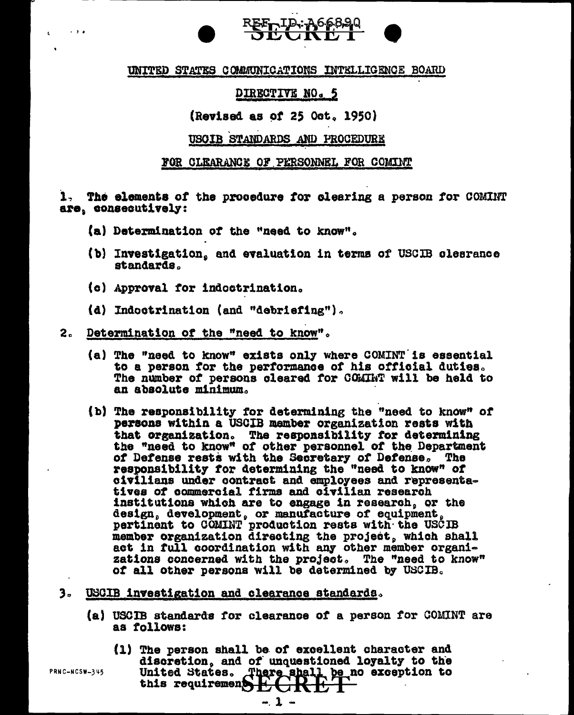## REE ID: A66890

#### UNITED STATES COMMUNICATIONS INTELLIGENCE BOARD

## DIRECTIVE NO. 5

## (Revised as of 25 Oct. 1950)

#### USOIB STANDARDS AND PROCEDURE

#### FOR CLEARANCE OF PERSONNEL FOR COMINT

1. The elements of the procedure for clearing a person for COMINT are, consecutively:

- (a) Determination of the "need to know".
- (b) Investigation, and evaluation in terms of USCIB clearance standards.
- (c) Approval for indoctrination.
- (d) Indoctrination (and "debriefing").

#### Determination of the "need to know".  $2<sub>e</sub>$

- (a) The "need to know" exists only where COMINT is essential to a person for the performance of his official duties. The number of persons cleared for COMINT will be held to an absolute minimum.
- (b) The responsibility for determining the "need to know" of persons within a USCIB member organization rests with that organization. The responsibility for determining<br>the "need to know" of other personnel of the Department of Defense rests with the Secretary of Defense. The responsibility for determining the "need to know" of civilians under contract and employees and representatives of commercial firms and civilian research institutions which are to engage in research, or the design, development, or manufacture of equipment, pertinent to COMINT production rests with the USCIB member organization directing the project, which shall act in full coordination with any other member organizations concerned with the project. The "need to know" of all other persons will be determined by USCIB.
- 3. USCIB investigation and clearance standards.
	- (a) USCIB standards for clearance of a person for COMINT are as follows:
		- (1) The person shall be of excellent character and discretion, and of unquestioned loyalty to the United States. There shall be no exception to<br>this requirement  $E$  of  $R$   $E$   $T$

PRNC-NCSW-345

 $\sim$   $\sim$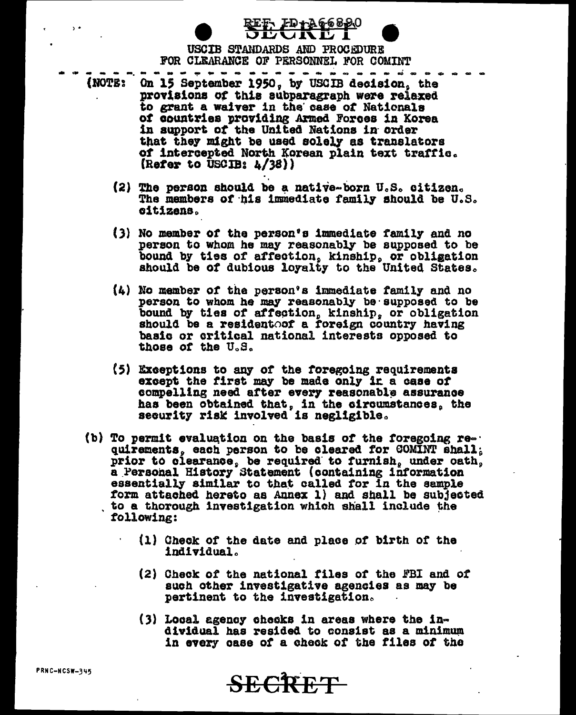USCIB STANDARDS AND PROCEDURE FOR CLEARANCE OF PERSONNEL FOR COMINT

' ID+ye089(

--------

- . . . . . On 15 September 1950, by USGIB decision, the (NOTE; provisions of this subparagraph were relaxed to grant a waiver in the case of Nationals of countries providing Armed Forces in Korea in support of the United Nations in order that they might be used solely as translators of intercepted North Korean plain text traffic. (Refer to  $\overline{USCIB: \lambda/38})$ )
	- (2) The person should be a native-born U.S. citizen. The members of his immediate family should be U.S. citizens.
	- (3) No member of the person's immediate family and no person to whom he may reasonably be supposed to be bound by ties of affection, kinship, or obligation should be of dubious loyalty to the United States.
	- (4) No member of the person's immediate family and no person to whom he may reasonably be supposed to be bound by ties of affection, kinship, or obligation should be a resident of a foreign country having basic or critical national interests opposed to those of the U.S.
	- (5) Exceptions to any of the foregoing requirements except the first may be made only in a case of compelling need after every reasonable assurance has been obtained that, in the circumstances, the security risk involved is negligible.
	- (b) To permit evaluation on the basis of the foregoing requirements, each person to be cleared for COMINT shall; prior to clearance, be required to furnish, under oath, a Personal History Statement (containing information essentially similar to that called for in the sample form attached hereto as Annex 1) and shall be subjected to a thorough investigation which shall include the following:
		- (1) Check of the date and place of birth of the individual.
		- (2) Check of the national files of the FBI and of such other investigative agencies as may be pertinent to the investigation.
		- $(3)$  Local agency checks in areas where the individual has resided to consist as a minimum in every case of a check of the files of the

**SECRET** 

PRNC-NCSW-345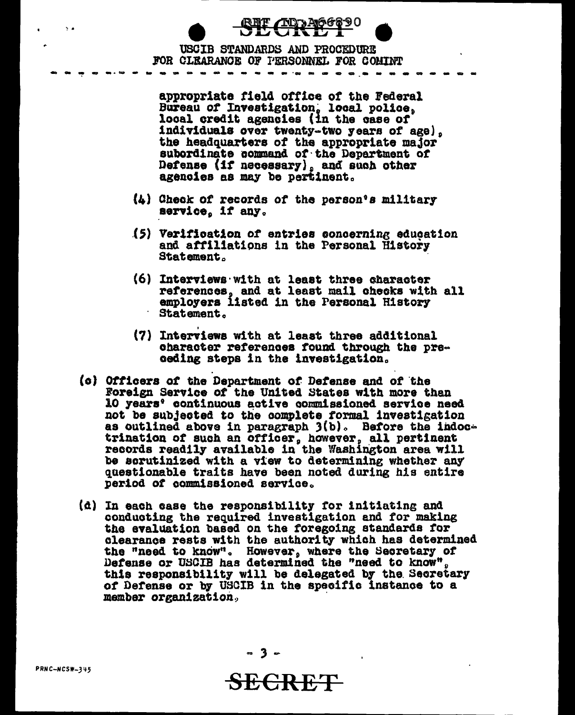REF AD A66890 **UIT** 

USCIB STANDARDS AND PROCEDURE FOR CLEARANCE OF PERSONNEL FOR COMINT

appropriate field office of the Federal Bureau of Investigation, local police, local credit agencies (in the case of individuals over twenty-two years of age), the headquarters of the appropriate major subordinate command of the Department of Defense (if necessary), and such other<br>agencies as may be pertinent.

- $(4)$  Check of records of the person's military service, if any.
- (5) Verification of entries concerning education and affiliations in the Personal History **Statement.**
- (6) Interviews with at least three character references, and at least mail checks with all<br>employers listed in the Personal History Statement.
- (7) Interviews with at least three additional character references found through the preceding steps in the investigation.
- (c) Officers of the Department of Defense and of the Foreign Service of the United States with more than 10 years' continuous active commissioned service need not be subjected to the complete formal investigation as outlined above in paragraph  $3(b)$ . Before the indoctrination of such an officer, however, all pertinent<br>records readily available in the Washington area will be scrutinized with a view to determining whether any questionable traits have been noted during his entire period of commissioned service.
- (d) In each case the responsibility for initiating and conducting the required investigation and for making the evaluation based on the foregoing standards for clearance rests with the authority which has determined the "need to know". However, where the Secretary of Defense or USCIB has determined the "need to know". this responsibility will be delegated by the Secretary of Defense or by USCIB in the specific instance to a member organization.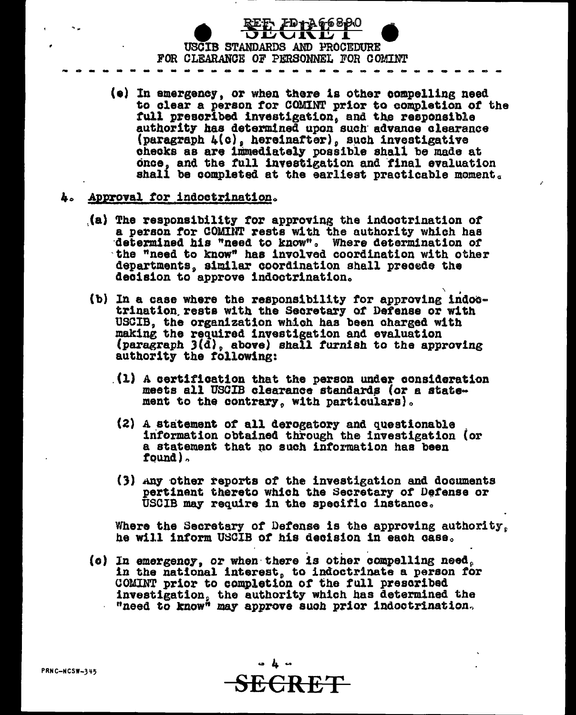

- (e) In emergency, or when there is other compelling need to clear a person for COMINT prior to completion of the full prescribed investigation, and the responsible authority has determined upon such advance clearance (paragraph 4(c), hereinafter), such investigative checks as are immediately possible shall be made at once, and the full investigation and final evaluation shall be completed at the earliest practicable moment.
- 4. Approval for indoctrination.
	- (a) The responsibility for approving the indoctrination of a person for COMINT rests with the authority which has determined his "need to know". Where determination of the "need to know" has involved coordination with other departments, similar coordination shall precede the decision to approve indoctrination.
	- (b) In a case where the responsibility for approving indoctrination rests with the Secretary of Defense or with USCIB, the organization which has been charged with making the required investigation and evaluation (paragraph  $3(\bar{d})$ , above) shall furnish to the approving authority the following:
		- (1) A certification that the person under consideration meets all USCIB clearance standards (or a statement to the contrary, with particulars).
		- (2) A statement of all derogatory and questionable information obtained through the investigation (or a statement that no such information has been found).
		- (3) Any other reports of the investigation and documents pertinent thereto which the Secretary of Defense or USCIB may require in the specific instance.

Where the Secretary of Defense is the approving authority. he will inform USCIB of his decision in each case.

(c) In emergency, or when there is other compelling need, in the national interest, to indoctrinate a person for COMINT prior to completion of the full prescribed investigation, the authority which has determined the "need to know" may approve such prior indoctrination.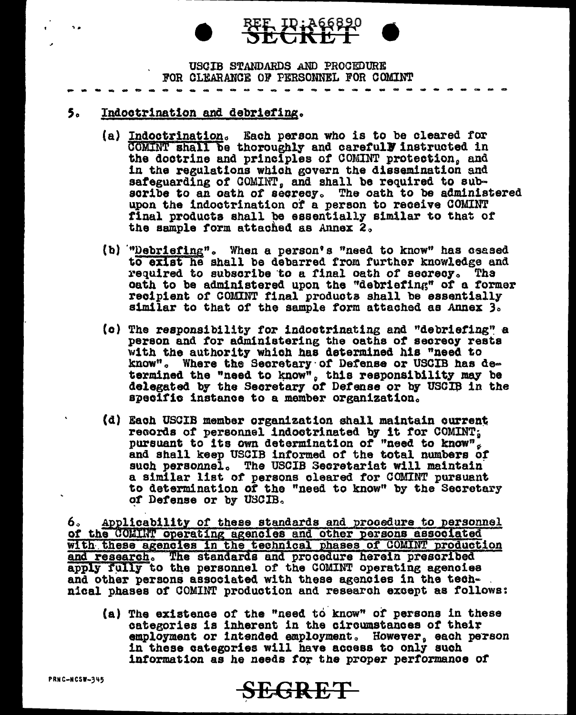# **ID: A66890**

USCIB STANDARDS AND PROCEDURE FOR CLEARANCE OF PERSONNEL FOR COMINT

#### 5. Indoctrination and debriefing.

 $\ddot{\phantom{0}}$ 

- (a) Indoctrination. Each person who is to be cleared for COMINT shall be thoroughly and carefull instructed in the doctrine and principles of COMINT protection, and in the regulations which govern the dissemination and safeguarding of COMINT, and shall be required to subscribe to an oath of secrecy. The oath to be administered upon the indoctrination of a person to receive COMINT final products shall be essentially similar to that of the sample form attached as Annex 2.
- (b) "Debriefing". When a person's "need to know" has csased to exist he shall be debarred from further knowledge and required to subscribe to a final oath of secrecy. The oath to be administered upon the "debriefing" of a former recipient of COMINT final products shall be essentially similar to that of the sample form attached as Annex 3.
- (c) The responsibility for indoctrinating and "debriefing" a person and for administering the oaths of secrecy rests with the authority which has determined his "need to know". Where the Secretary of Defense or USCIB has determined the "need to know", this responsibility may be delegated by the Secretary of Defense or by USCIB in the specific instance to a member organization.
- (d) Each USCIB member organization shall maintain current records of personnel indoctrinated by it for COMINT; pursuant to its own determination of "need to know". and shall keep USCIB informed of the total numbers of such personnel. The USCIB Secretariat will maintain a similar list of persons cleared for COMINT pursuant to determination of the "need to know" by the Secretary of Defense or by USCIB.

Applicability of these standards and procedure to personnel 6. of the COMINT operating agencies and other persons associated with these agencies in the technical phases of COMINT production and research. The standards and procedure herein prescribed apply fully to the personnel of the COMINT operating agencies and other persons associated with these agencies in the technical phases of COMINT production and research except as follows:

(a) The existence of the "need to know" of persons in these categories is inherent in the circumstances of their employment or intended employment. However, each person in these categories will have access to only such information as he needs for the proper performance of